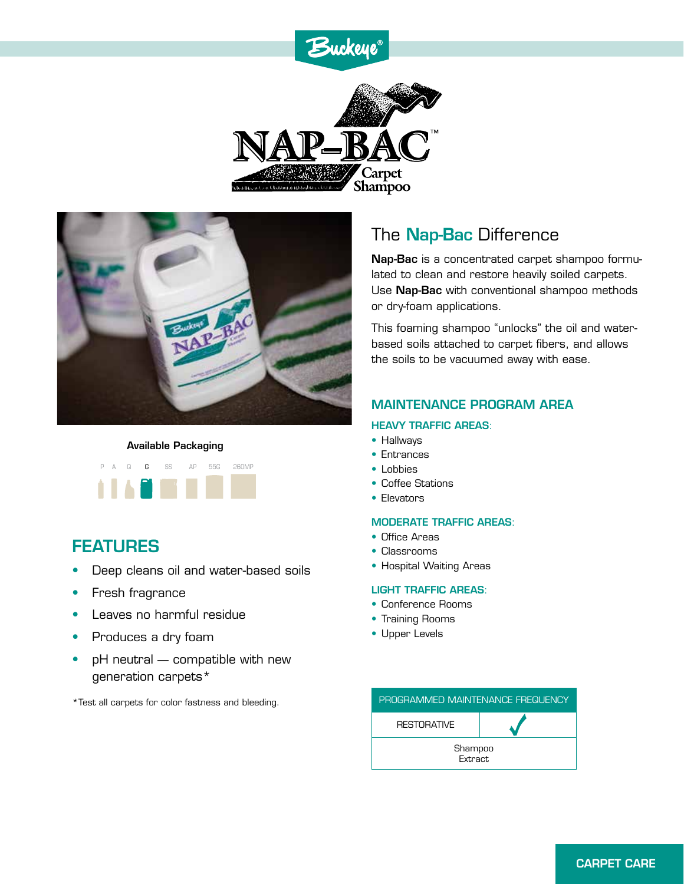# Buckeye®





#### Available Packaging



### FEATURES

- Deep cleans oil and water-based soils
- Fresh fragrance
- Leaves no harmful residue
- Produces a dry foam
- pH neutral compatible with new generation carpets\*

\*Test all carpets for color fastness and bleeding.

## The **Nap-Bac** Difference

Nap-Bac is a concentrated carpet shampoo formulated to clean and restore heavily soiled carpets. Use Nap-Bac with conventional shampoo methods or dry-foam applications.

This foaming shampoo "unlocks" the oil and waterbased soils attached to carpet fibers, and allows the soils to be vacuumed away with ease.

### MAINTENANCE PROGRAM AREA

#### HEAVY TRAFFIC AREAS:

- Hallways
- Entrances
- Lobbies
- Coffee Stations
- Elevators

#### MODERATE TRAFFIC AREAS:

- Office Areas
- Classrooms
- Hospital Waiting Areas

#### LIGHT TRAFFIC AREAS:

- Conference Rooms
- Training Rooms
- Upper Levels